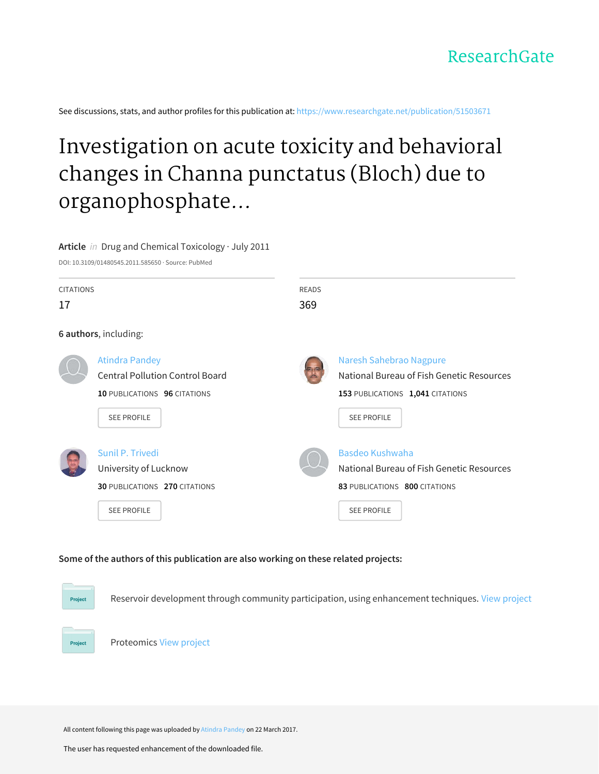See discussions, stats, and author profiles for this publication at: [https://www.researchgate.net/publication/51503671](https://www.researchgate.net/publication/51503671_Investigation_on_acute_toxicity_and_behavioral_changes_in_Channa_punctatus_Bloch_due_to_organophosphate_pesticide_profenofos?enrichId=rgreq-4e74194c3fd15be5d1b51ed9cf57c273-XXX&enrichSource=Y292ZXJQYWdlOzUxNTAzNjcxO0FTOjQ3NDYwNzU0MDAxOTIwMEAxNDkwMTY2NjYzNjk5&el=1_x_2&_esc=publicationCoverPdf)

# Investigation on acute toxicity and behavioral changes in Channa punctatus (Bloch) due to organophosphate...

**Article** in Drug and Chemical Toxicology · July 2011

DOI: 10.3109/01480545.2011.585650 · Source: PubMed

| <b>CITATIONS</b> |                                        | <b>READS</b> |                                           |
|------------------|----------------------------------------|--------------|-------------------------------------------|
| 17               |                                        | 369          |                                           |
|                  | 6 authors, including:                  |              |                                           |
|                  | <b>Atindra Pandey</b>                  |              | Naresh Sahebrao Nagpure                   |
|                  | <b>Central Pollution Control Board</b> |              | National Bureau of Fish Genetic Resources |
|                  | 10 PUBLICATIONS 96 CITATIONS           |              | 153 PUBLICATIONS 1,041 CITATIONS          |
|                  | <b>SEE PROFILE</b>                     |              | <b>SEE PROFILE</b>                        |
|                  | Sunil P. Trivedi                       |              | Basdeo Kushwaha                           |
|                  | University of Lucknow                  |              | National Bureau of Fish Genetic Resources |
|                  | <b>30 PUBLICATIONS 270 CITATIONS</b>   |              | 83 PUBLICATIONS 800 CITATIONS             |
|                  | <b>SEE PROFILE</b>                     |              | <b>SEE PROFILE</b>                        |

# **Some of the authors of this publication are also working on these related projects:**

Reservoir development through community participation, using enhancement techniques. View [project](https://www.researchgate.net/project/Reservoir-development-through-community-participation-using-enhancement-techniques?enrichId=rgreq-4e74194c3fd15be5d1b51ed9cf57c273-XXX&enrichSource=Y292ZXJQYWdlOzUxNTAzNjcxO0FTOjQ3NDYwNzU0MDAxOTIwMEAxNDkwMTY2NjYzNjk5&el=1_x_9&_esc=publicationCoverPdf)

Proteomics View [project](https://www.researchgate.net/project/Proteomics-37?enrichId=rgreq-4e74194c3fd15be5d1b51ed9cf57c273-XXX&enrichSource=Y292ZXJQYWdlOzUxNTAzNjcxO0FTOjQ3NDYwNzU0MDAxOTIwMEAxNDkwMTY2NjYzNjk5&el=1_x_9&_esc=publicationCoverPdf)

Project

Project

All content following this page was uploaded by Atindra [Pandey](https://www.researchgate.net/profile/Atindra_Pandey?enrichId=rgreq-4e74194c3fd15be5d1b51ed9cf57c273-XXX&enrichSource=Y292ZXJQYWdlOzUxNTAzNjcxO0FTOjQ3NDYwNzU0MDAxOTIwMEAxNDkwMTY2NjYzNjk5&el=1_x_10&_esc=publicationCoverPdf) on 22 March 2017.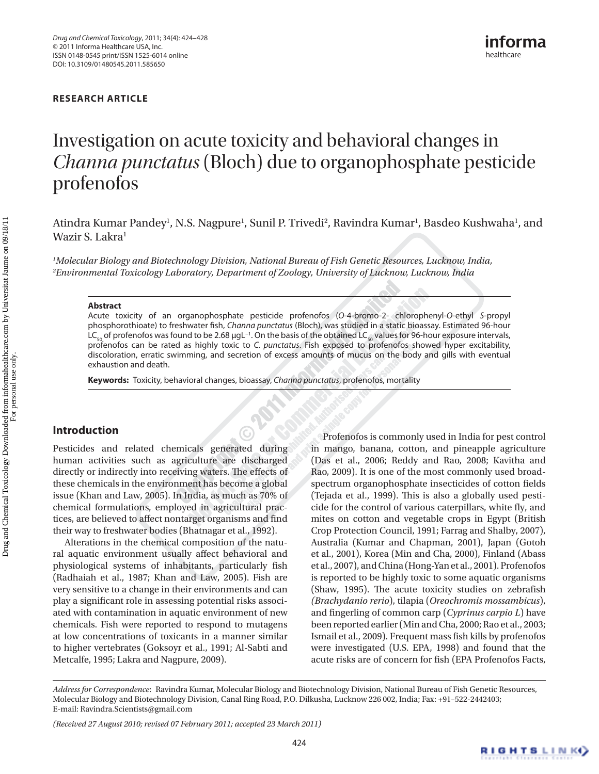# **[RESEARCH ARTICLE](#page-4-12)**

# [Investigation on acute toxicity and behavioral changes in](#page-4-12)  *Channa punctatus* [\(Bloch\) due to organophosphate pesticide](#page-4-12)  [profenofos](#page-4-12)

Atindra Kumar Pandey<sup>1</sup>, N.S. Nagpure<sup>1</sup>, Sunil P. Trivedi<sup>2</sup>, Ravindra Kumar<sup>1</sup>, Basdeo Kushwaha<sup>1</sup>, and Wazir S. Lakra<sup>1</sup>

*1 [Molecular Biology and Biotechnology Division, National Bureau of Fish Genetic Resources, Lucknow, India,](#page-4-12)  2 [Environmental Toxicology Laboratory, Department of Zoology, University of Lucknow, Lucknow, India](#page-4-12)* 

#### **[Abstract](#page-4-12)**

[Acute toxicity of an organophosphate pesticide profenofos \(](#page-4-12)*O*-4-bromo-2- chlorophenyl-*O*-ethyl *S*-propyl phosphorothioate) to freshwater fish, *Channa punctatus* [\(Bloch\), was studied in a static bioassay. Estimated 96-hour](#page-4-12)  LC<sub>50</sub> of profenofos was found to be 2.68 μgL<sup>−1</sup>. On the basis of the obtained LC<sub>50</sub> values for 96-hour exposure intervals, profenofos can be rated as highly toxic to *C. punctatus*[. Fish exposed to profenofos showed hyper excitability,](#page-4-12)  [discoloration, erratic swimming, and secretion of excess amounts of mucus on the body and gills with eventual](#page-4-12)  [exhaustion and death.](#page-4-12)

**Keywords:** [Toxicity, behavioral changes, bioassay,](#page-4-12) *Channa punctatus*, profenofos, mortality

# **Introduction**

Pesticides and related chemicals generated during human activities such as agriculture are discharged directly or indirectly into receiving waters. The effects of these chemicals in the environment has become a global issue ([Khan and Law, 2005](#page-4-0)). In India, as much as 70% of chemical formulations, employed in agricultural practices, are believed to affect nontarget organisms and find their way to freshwater bodies ([Bhatnagar et](#page-4-1) al., 1992).

Alterations in the chemical composition of the natural aquatic environment usually affect behavioral and physiological systems of inhabitants, particularly fish ([Radhaiah et](#page-5-0) al., 1987; [Khan and Law, 2005\)](#page-4-0). Fish are very sensitive to a change in their environments and can play a significant role in assessing potential risks associated with contamination in aquatic environment of new chemicals. Fish were reported to respond to mutagens at low concentrations of toxicants in a manner similar to higher vertebrates [\(Goksoyr et](#page-4-2) al., 1991; [Al-Sabti and](#page-4-3) [Metcalfe, 1995](#page-4-3); [Lakra and Nagpure, 2009\)](#page-5-1).

Profenofos is commonly used in India for pest control in mango, banana, cotton, and pineapple agriculture (Das et al., 2006; [Reddy and Rao, 2008](#page-5-2); [Kavitha and](#page-4-4)  [Rao, 2009](#page-4-4)). It is one of the most commonly used broadspectrum organophosphate insecticides of cotton fields ([Tejada et](#page-5-3) al., 1999). This is also a globally used pesticide for the control of various caterpillars, white fly, and mites on cotton and vegetable crops in Egypt ([British](#page-4-5)  [Crop Protection Council, 1991](#page-4-5); [Farrag and Shalby, 2007\)](#page-4-6), Australia [\(Kumar and Chapman, 2001](#page-4-7)), Japan [\(Gotoh](#page-4-8) et [al., 2001\)](#page-4-8), Korea ([Min and Cha, 2000](#page-5-4)), Finland ([Abass](#page-4-9)  et [al., 2007](#page-4-9)), and China [\(Hong-Yan et](#page-4-10) al., 2001). Profenofos is reported to be highly toxic to some aquatic organisms ([Shaw, 1995\)](#page-5-5). The acute toxicity studies on zebrafish *(Brachydanio rerio*), tilapia (*Oreochromis mossambicus*), and fingerling of common carp (*Cyprinus carpio L*) have been reported earlier ([Min and Cha, 2000;](#page-5-4) Rao et [al., 2003;](#page-5-6) [Ismail et](#page-4-11) al., 2009). Frequent mass fish kills by profenofos were investigated ([U.S. EPA, 1998\)](#page-5-7) and found that the acute risks are of concern for fish ([EPA Profenofos Facts,](#page-4-12) 

*Address for Correspondence*: [Ravindra Kumar, Molecular Biology and Biotechnology Division, National Bureau of Fish Genetic Resources,](#page-4-12)  [Molecular Biology and Biotechnology Division, Canal Ring Road, P.O. Dilkusha, Lucknow 226 002, India; Fax: +91–522-2442403;](#page-4-12)  [E-mail: Ravindra.Scientists@gmail.com](#page-4-12)

*[<sup>\(</sup>Received 27 August 2010; revised 07 February 2011; accepted 23 March 2011\)](#page-4-12)*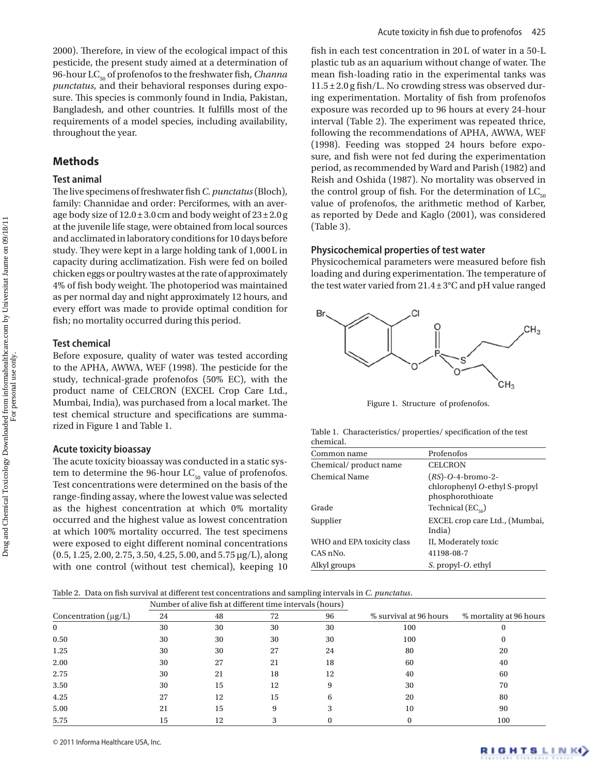[2000](#page-4-12)). Therefore, in view of the ecological impact of this pesticide, the present study aimed at a determination of 96-hour LC<sub>50</sub> of profenofos to the freshwater fish, *Channa punctatus*, and their behavioral responses during exposure. This species is commonly found in India, Pakistan, Bangladesh, and other countries. It fulfills most of the requirements of a model species, including availability, throughout the year.

# **Methods**

#### **Test animal**

The live specimens of freshwater fish *C. punctatus* (Bloch), family: Channidae and order: Perciformes, with an average body size of  $12.0 \pm 3.0$  cm and body weight of  $23 \pm 2.0$  g at the juvenile life stage, were obtained from local sources and acclimated in laboratory conditions for 10 days before study. They were kept in a large holding tank of 1,000L in capacity during acclimatization. Fish were fed on boiled chicken eggs or poultry wastes at the rate of approximately 4% of fish body weight. The photoperiod was maintained as per normal day and night approximately 12 hours, and every effort was made to provide optimal condition for fish; no mortality occurred during this period.

# **Test chemical**

Before exposure, quality of water was tested according to the APHA, AWWA, WEF (1998). The pesticide for the study, technical-grade profenofos (50% EC), with the product name of CELCRON (EXCEL Crop Care Ltd., Mumbai, India), was purchased from a local market. The test chemical structure and specifications are summarized in [Figure 1](#page-2-0) and Table 1.

#### **Acute toxicity bioassay**

The acute toxicity bioassay was conducted in a static system to determine the 96-hour  $LC_{50}$  value of profenofos. Test concentrations were determined on the basis of the range-finding assay, where the lowest value was selected as the highest concentration at which 0% mortality occurred and the highest value as lowest concentration at which 100% mortality occurred. The test specimens were exposed to eight different nominal concentrations (0.5, 1.25, 2.00, 2.75, 3.50, 4.25, 5.00, and 5.75 µg/L), along with one control (without test chemical), keeping 10

fish in each test concentration in 20L of water in a 50-L plastic tub as an aquarium without change of water. The mean fish-loading ratio in the experimental tanks was 11.5±2.0 g fish/L. No crowding stress was observed during experimentation. Mortality of fish from profenofos exposure was recorded up to 96 hours at every 24-hour interval (Table 2). The experiment was repeated thrice, following the recommendations of APHA, AWWA, WEF (1998). Feeding was stopped 24 hours before exposure, and fish were not fed during the experimentation period, as recommended by [Ward and Parish \(1982\)](#page-5-8) and [Reish and Oshida \(1987\).](#page-5-9) No mortality was observed in the control group of fish. For the determination of  $LC_{50}$ value of profenofos, the arithmetic method of Karber, as reported by [Dede and Kaglo \(2001\),](#page-4-13) was considered (Table 3).

#### **Physicochemical properties of test water**

Physicochemical parameters were measured before fish loading and during experimentation. The temperature of the test water varied from 21.4±3°C and pH value ranged



<span id="page-2-0"></span>Figure 1. Structure of profenofos.

|           | Table 1. Characteristics/properties/specification of the test |  |  |
|-----------|---------------------------------------------------------------|--|--|
| chemical. |                                                               |  |  |

| Common name                | Profenofos                                                                |
|----------------------------|---------------------------------------------------------------------------|
| Chemical/product name      | <b>CELCRON</b>                                                            |
| <b>Chemical Name</b>       | $(RS)$ -O-4-bromo-2-<br>chlorophenyl O-ethyl S-propyl<br>phosphorothioate |
| Grade                      | Technical $(EC_{50})$                                                     |
| Supplier                   | EXCEL crop care Ltd., (Mumbai,<br>India)                                  |
| WHO and EPA toxicity class | II, Moderately toxic                                                      |
| CAS nNo.                   | 41198-08-7                                                                |
| Alkyl groups               | S. propyl-O. ethyl                                                        |

| Table 2. Data on fish survival at different test concentrations and sampling intervals in C. punctatus. |  |  |  |  |  |  |  |  |  |
|---------------------------------------------------------------------------------------------------------|--|--|--|--|--|--|--|--|--|
|---------------------------------------------------------------------------------------------------------|--|--|--|--|--|--|--|--|--|

|                           | Number of alive fish at different time intervals (hours) |    |    |    |                        |                         |
|---------------------------|----------------------------------------------------------|----|----|----|------------------------|-------------------------|
| Concentration $(\mu g/L)$ | 24                                                       | 48 | 72 | 96 | % survival at 96 hours | % mortality at 96 hours |
| $\bf{0}$                  | 30                                                       | 30 | 30 | 30 | 100                    | O                       |
| 0.50                      | 30                                                       | 30 | 30 | 30 | 100                    |                         |
| 1.25                      | 30                                                       | 30 | 27 | 24 | 80                     | 20                      |
| 2.00                      | 30                                                       | 27 | 21 | 18 | 60                     | 40                      |
| 2.75                      | 30                                                       | 21 | 18 | 12 | 40                     | 60                      |
| 3.50                      | 30                                                       | 15 | 12 | 9  | 30                     | 70                      |
| 4.25                      | 27                                                       | 12 | 15 | 6  | 20                     | 80                      |
| 5.00                      | 21                                                       | 15 |    |    | 10                     | 90                      |
| 5.75                      | 15                                                       | 12 |    |    |                        | 100                     |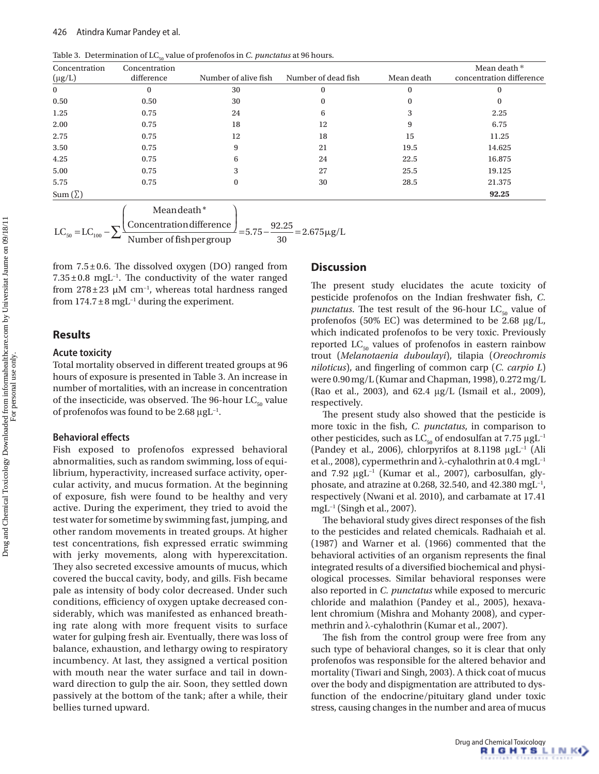Table 3. Determination of LC<sub>50</sub> value of profenofos in *C. punctatus* at 96 hours.

| Concentration | Concentration |                      |                     |            | Mean death *             |
|---------------|---------------|----------------------|---------------------|------------|--------------------------|
| $(\mu g/L)$   | difference    | Number of alive fish | Number of dead fish | Mean death | concentration difference |
| $\bf{0}$      | $\Omega$      | 30                   | $\Omega$            | $\bf{0}$   | $\bf{0}$                 |
| 0.50          | 0.50          | 30                   | 0                   | $\bf{0}$   | $\bf{0}$                 |
| 1.25          | 0.75          | 24                   | 6                   | 3          | 2.25                     |
| 2.00          | 0.75          | 18                   | 12                  | 9          | 6.75                     |
| 2.75          | 0.75          | 12                   | 18                  | 15         | 11.25                    |
| 3.50          | 0.75          | 9                    | 21                  | 19.5       | 14.625                   |
| 4.25          | 0.75          | 6                    | 24                  | 22.5       | 16.875                   |
| 5.00          | 0.75          | 3                    | 27                  | 25.5       | 19.125                   |
| 5.75          | 0.75          | $\Omega$             | 30                  | 28.5       | 21.375                   |
| $Sum(\Sigma)$ |               |                      |                     |            | 92.25                    |

$$
LC_{50} = LC_{100} - \sum \frac{\text{Mean death*}}{\text{Number of fish per group}} = 5.75 - \frac{92.25}{30} = 2.675 \mu g/L
$$

from  $7.5\pm0.6$ . The dissolved oxygen (DO) ranged from 7.35±0.8 mgL−1. The conductivity of the water ranged from 278±23 µM cm−1, whereas total hardness ranged from  $174.7 \pm 8$  mgL<sup>-1</sup> during the experiment.

# **Results**

#### **Acute toxicity**

Total mortality observed in different treated groups at 96 hours of exposure is presented in Table 3. An increase in number of mortalities, with an increase in concentration of the insecticide, was observed. The 96-hour  $LC_{50}$  value of profenofos was found to be 2.68 μgL<sup>-1</sup>.

#### **Behavioral effects**

Fish exposed to profenofos expressed behavioral abnormalities, such as random swimming, loss of equilibrium, hyperactivity, increased surface activity, opercular activity, and mucus formation. At the beginning of exposure, fish were found to be healthy and very active. During the experiment, they tried to avoid the test water for sometime by swimming fast, jumping, and other random movements in treated groups. At higher test concentrations, fish expressed erratic swimming with jerky movements, along with hyperexcitation. They also secreted excessive amounts of mucus, which covered the buccal cavity, body, and gills. Fish became pale as intensity of body color decreased. Under such conditions, efficiency of oxygen uptake decreased considerably, which was manifested as enhanced breathing rate along with more frequent visits to surface water for gulping fresh air. Eventually, there was loss of balance, exhaustion, and lethargy owing to respiratory incumbency. At last, they assigned a vertical position with mouth near the water surface and tail in downward direction to gulp the air. Soon, they settled down passively at the bottom of the tank; after a while, their bellies turned upward.

# **Discussion**

The present study elucidates the acute toxicity of pesticide profenofos on the Indian freshwater fish, *C. punctatus*. The test result of the 96-hour  $LC_{50}$  value of profenofos (50% EC) was determined to be 2.68 μg/L, which indicated profenofos to be very toxic. Previously reported  $LC_{50}$  values of profenofos in eastern rainbow trout (*Melanotaenia duboulayi*), tilapia (*Oreochromis niloticus*), and fingerling of common carp (*C. carpio L*) were 0.90mg/L ([Kumar and Chapman, 1998](#page-4-14)), 0.272mg/L (Rao et [al., 2003](#page-5-6)), and 62.4 μg/L [\(Ismail et](#page-4-11) al., 2009), respectively.

The present study also showed that the pesticide is more toxic in the fish, *C. punctatus*, in comparison to other pesticides, such as  $LC_{50}$  of endosulfan at 7.75  $\mu gL^{-1}$ ([Pandey et](#page-5-10) al., 2006), chlorpyrifos at 8.1198 μgL−1 [\(Ali](#page-4-15) et [al., 2008](#page-4-15)), cypermethrin and λ-cyhalothrin at 0.4 mgL−1 and 7.92 μgL<sup>-1</sup> [\(Kumar et](#page-5-11) al., 2007), carbosulfan, glyphosate, and atrazine at 0.268, 32.540, and 42.380 mgL<sup>-1</sup> respectively ([Nwani et](#page-5-12) al. 2010), and carbamate at 17.41 mgL−1 (Singh et [al., 2007\)](#page-5-13).

The behavioral study gives direct responses of the fish to the pesticides and related chemicals. [Radhaiah et](#page-5-0) al. [\(1987\)](#page-5-0) and [Warner et](#page-5-14) al. (1966) commented that the behavioral activities of an organism represents the final integrated results of a diversified biochemical and physiological processes. Similar behavioral responses were also reported in *C. punctatus* while exposed to mercuric chloride and malathion ([Pandey et](#page-5-15) al., 2005), hexavalent chromium [\(Mishra and Mohanty 2008\)](#page-5-16), and cypermethrin and λ-cyhalothrin [\(Kumar et](#page-5-11) al., 2007).

The fish from the control group were free from any such type of behavioral changes, so it is clear that only profenofos was responsible for the altered behavior and mortality ([Tiwari and Singh, 2003](#page-5-17)). A thick coat of mucus over the body and dispigmentation are attributed to dysfunction of the endocrine/pituitary gland under toxic stress, causing changes in the number and area of mucus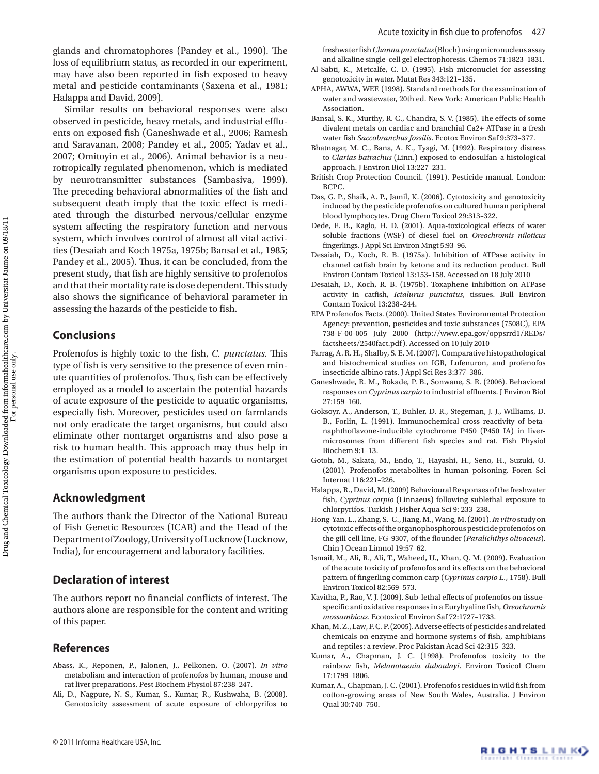glands and chromatophores ([Pandey et](#page-5-18) al., 1990). The loss of equilibrium status, as recorded in our experiment, may have also been reported in fish exposed to heavy metal and pesticide contaminants [\(Saxena et](#page-5-19) al., 1981; Halappa and David, 2009).

Similar results on behavioral responses were also observed in pesticide, heavy metals, and industrial effluents on exposed fish [\(Ganeshwade et](#page-4-16) al., 2006; [Ramesh](#page-5-20) [and Saravanan, 2008;](#page-5-20) [Pandey et](#page-5-15) al., 2005; [Yadav et](#page-5-21) al., [2007](#page-5-21); [Omitoyin et](#page-5-22) al., 2006). Animal behavior is a neurotropically regulated phenomenon, which is mediated by neurotransmitter substances ([Sambasiva, 1999\)](#page-5-23). The preceding behavioral abnormalities of the fish and subsequent death imply that the toxic effect is mediated through the disturbed nervous/cellular enzyme system affecting the respiratory function and nervous system, which involves control of almost all vital activities ([Desaiah and Koch 1975a](#page-4-17), 1975b; [Bansal et](#page-4-18) al., 1985; [Pandey et](#page-5-15) al., 2005). Thus, it can be concluded, from the present study, that fish are highly sensitive to profenofos and that their mortality rate is dose dependent. This study also shows the significance of behavioral parameter in assessing the hazards of the pesticide to fish.

# **Conclusions**

Profenofos is highly toxic to the fish, *C. punctatus*. This type of fish is very sensitive to the presence of even minute quantities of profenofos. Thus, fish can be effectively employed as a model to ascertain the potential hazards of acute exposure of the pesticide to aquatic organisms, especially fish. Moreover, pesticides used on farmlands not only eradicate the target organisms, but could also eliminate other nontarget organisms and also pose a risk to human health. This approach may thus help in the estimation of potential health hazards to nontarget organisms upon exposure to pesticides.

# **Acknowledgment**

The authors thank the Director of the National Bureau of Fish Genetic Resources (ICAR) and the Head of the Department of Zoology, University of Lucknow (Lucknow, India), for encouragement and laboratory facilities.

# **Declaration of interest**

The authors report no financial conflicts of interest. The authors alone are responsible for the content and writing of this paper.

# **References**

- <span id="page-4-9"></span>Abass, K., Reponen, P., Jalonen, J., Pelkonen, O. (2007). *In vitro* metabolism and interaction of profenofos by human, mouse and rat liver preparations. Pest Biochem Physiol 87:238–247.
- <span id="page-4-15"></span>Ali, D., Nagpure, N. S., Kumar, S., Kumar, R., Kushwaha, B. (2008). Genotoxicity assessment of acute exposure of chlorpyrifos to
- <span id="page-4-3"></span>genotoxicity in water. Mutat Res 343:121–135.
- APHA, AWWA, WEF. (1998). Standard methods for the examination of water and wastewater, 20th ed. New York: American Public Health Association.
- <span id="page-4-18"></span>Bansal, S. K., Murthy, R. C., Chandra, S. V. (1985). The effects of some divalent metals on cardiac and branchial Ca2+ ATPase in a fresh water fish *Saccobranchus fossilis*. Ecotox Environ Saf 9:373–377.
- <span id="page-4-1"></span>Bhatnagar, M. C., Bana, A. K., Tyagi, M. (1992). Respiratory distress to *Clarias batrachus* (Linn.) exposed to endosulfan-a histological approach. J Environ Biol 13:227–231.
- <span id="page-4-5"></span>British Crop Protection Council. (1991). Pesticide manual. London: BCPC.
- Das, G. P., Shaik, A. P., Jamil, K. (2006). Cytotoxicity and genotoxicity induced by the pesticide profenofos on cultured human peripheral blood lymphocytes. Drug Chem Toxicol 29:313–322.
- <span id="page-4-13"></span>Dede, E. B., Kaglo, H. D. (2001). Aqua-toxicological effects of water soluble fractions (WSF) of diesel fuel on *Oreochromis niloticus* fingerlings. J Appl Sci Environ Mngt 5:93–96.
- <span id="page-4-17"></span>Desaiah, D., Koch, R. B. (1975a). Inhibition of ATPase activity in channel catfish brain by ketone and its reduction product. Bull Environ Contam Toxicol 13:153–158. Accessed on 18 July 2010
- Desaiah, D., Koch, R. B. (1975b). Toxaphene inhibition on ATPase activity in catfish, *Ictalurus punctatus*, tissues. Bull Environ Contam Toxicol 13:238–244.
- <span id="page-4-12"></span>EPA Profenofos Facts. (2000). United States Environmental Protection Agency: prevention, pesticides and toxic substances (7508C), EPA 738-F-00-005 July 2000 ([http://www.epa.gov/oppsrrd1/REDs/](http://www.epa.gov/oppsrrd1/REDs/factsheets/2540fact.pdf) [factsheets/2540fact.pdf\)](http://www.epa.gov/oppsrrd1/REDs/factsheets/2540fact.pdf). Accessed on 10 July 2010
- <span id="page-4-6"></span>Farrag, A. R. H., Shalby, S. E. M. (2007). Comparative histopathological and histochemical studies on IGR, Lufenuron, and profenofos insecticide albino rats. J Appl Sci Res 3:377–386.
- <span id="page-4-16"></span>Ganeshwade, R. M., Rokade, P. B., Sonwane, S. R. (2006). Behavioral responses on *Cyprinus carpio* to industrial effluents. J Environ Biol 27:159–160.
- <span id="page-4-2"></span>Goksoyr, A., Anderson, T., Buhler, D. R., Stegeman, J. J., Williams, D. B., Forlin, L. (1991). Immunochemical cross reactivity of betanaphthoflavone-inducible cytochrome P450 (P450 IA) in livermicrosomes from different fish species and rat. Fish Physiol Biochem 9:1–13.
- <span id="page-4-8"></span>Gotoh, M., Sakata, M., Endo, T., Hayashi, H., Seno, H., Suzuki, O. (2001). Profenofos metabolites in human poisoning. Foren Sci Internat 116:221–226.
- Halappa, R., David, M. (2009) Behavioural Responses of the freshwater fish, *Cyprinus carpio* (Linnaeus) following sublethal exposure to chlorpyrifos. Turkish J Fisher Aqua Sci 9: 233–238.
- <span id="page-4-10"></span>Hong-Yan, L., Zhang, S.-C., Jiang, M., Wang, M. (2001). *In vitro* study on cytotoxic effects of the organophosphorous pesticide profenofos on the gill cell line, FG-9307, of the flounder (*Paralichthys olivaceus*). Chin J Ocean Limnol 19:57–62.
- <span id="page-4-11"></span>Ismail, M., Ali, R., Ali, T., Waheed, U., Khan, Q. M. (2009). Evaluation of the acute toxicity of profenofos and its effects on the behavioral pattern of fingerling common carp (*Cyprinus carpio L.,* 1758). Bull Environ Toxicol 82:569–573.
- <span id="page-4-4"></span>Kavitha, P., Rao, V. J. (2009). Sub-lethal effects of profenofos on tissuespecific antioxidative responses in a Euryhyaline fish, *Oreochromis mossambicus*. Ecotoxicol Environ Saf 72:1727–1733.
- <span id="page-4-0"></span>Khan, M. Z., Law, F. C. P. (2005). Adverse effects of pesticides and related chemicals on enzyme and hormone systems of fish, amphibians and reptiles: a review. Proc Pakistan Acad Sci 42:315–323.
- <span id="page-4-14"></span>Kumar, A., Chapman, J. C. (1998). Profenofos toxicity to the rainbow fish, *Melanotaenia duboulayi*. Environ Toxicol Chem 17:1799–1806.
- <span id="page-4-7"></span>Kumar, A., Chapman, J. C. (2001). Profenofos residues in wild fish from cotton-growing areas of New South Wales, Australia. J Environ Qual 30:740–750.